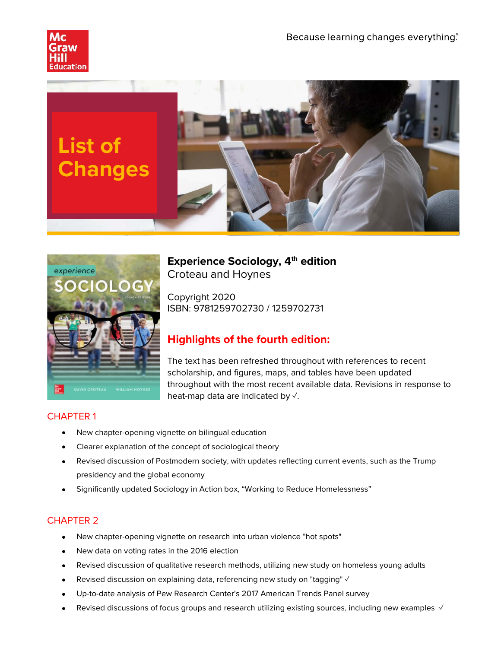





**Experience Sociology, 4th edition** Croteau and Hoynes

Copyright 2020 ISBN: 9781259702730 / 1259702731

# **Highlights of the fourth edition:**

The text has been refreshed throughout with references to recent scholarship, and figures, maps, and tables have been updated throughout with the most recent available data. Revisions in response to heat-map data are indicated by √.

# CHAPTER 1

- New chapter-opening vignette on bilingual education
- Clearer explanation of the concept of sociological theory
- Revised discussion of Postmodern society, with updates reflecting current events, such as the Trump presidency and the global economy
- Significantly updated Sociology in Action box, "Working to Reduce Homelessness"

- New chapter-opening vignette on research into urban violence "hot spots"
- New data on voting rates in the 2016 election
- Revised discussion of qualitative research methods, utilizing new study on homeless young adults
- Revised discussion on explaining data, referencing new study on "tagging" ✓
- Up-to-date analysis of Pew Research Center's 2017 American Trends Panel survey
- Revised discussions of focus groups and research utilizing existing sources, including new examples √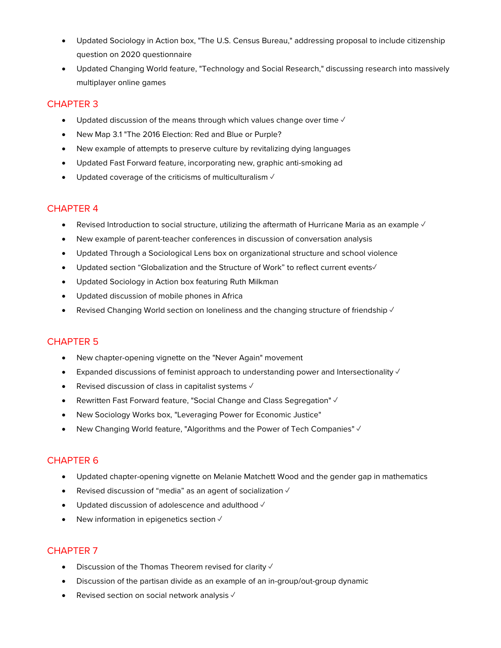- Updated Sociology in Action box, "The U.S. Census Bureau," addressing proposal to include citizenship question on 2020 questionnaire
- Updated Changing World feature, "Technology and Social Research," discussing research into massively multiplayer online games

- Updated discussion of the means through which values change over time  $\sqrt{ }$
- New Map 3.1 "The 2016 Election: Red and Blue or Purple?
- New example of attempts to preserve culture by revitalizing dying languages
- Updated Fast Forward feature, incorporating new, graphic anti-smoking ad
- Updated coverage of the criticisms of multiculturalism √

# CHAPTER 4

- Revised Introduction to social structure, utilizing the aftermath of Hurricane Maria as an example √
- New example of parent-teacher conferences in discussion of conversation analysis
- Updated Through a Sociological Lens box on organizational structure and school violence
- Updated section "Globalization and the Structure of Work" to reflect current events√
- Updated Sociology in Action box featuring Ruth Milkman
- Updated discussion of mobile phones in Africa
- Revised Changing World section on loneliness and the changing structure of friendship  $\checkmark$

# CHAPTER 5

- New chapter-opening vignette on the "Never Again" movement
- Expanded discussions of feminist approach to understanding power and Intersectionality  $\vee$
- Revised discussion of class in capitalist systems √
- Rewritten Fast Forward feature, "Social Change and Class Segregation" ✓
- New Sociology Works box, "Leveraging Power for Economic Justice"
- New Changing World feature, "Algorithms and the Power of Tech Companies" ✓

# CHAPTER 6

- Updated chapter-opening vignette on Melanie Matchett Wood and the gender gap in mathematics
- Revised discussion of "media" as an agent of socialization ✓
- Updated discussion of adolescence and adulthood ✓
- New information in epigenetics section  $√$

- Discussion of the Thomas Theorem revised for clarity  $√$
- Discussion of the partisan divide as an example of an in-group/out-group dynamic
- Revised section on social network analysis  $\sqrt{ }$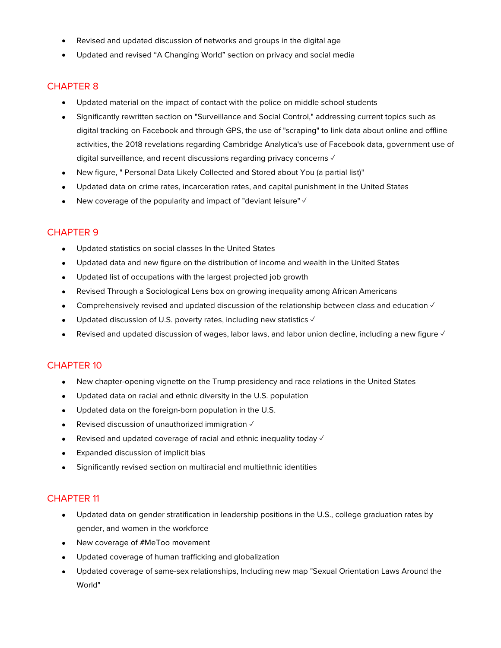- Revised and updated discussion of networks and groups in the digital age
- Updated and revised "A Changing World" section on privacy and social media

- Updated material on the impact of contact with the police on middle school students
- Significantly rewritten section on "Surveillance and Social Control," addressing current topics such as digital tracking on Facebook and through GPS, the use of "scraping" to link data about online and offline activities, the 2018 revelations regarding Cambridge Analytica's use of Facebook data, government use of digital surveillance, and recent discussions regarding privacy concerns √
- New figure, " Personal Data Likely Collected and Stored about You (a partial list)"
- Updated data on crime rates, incarceration rates, and capital punishment in the United States
- New coverage of the popularity and impact of "deviant leisure"  $\sqrt{ }$

#### CHAPTER 9

- Updated statistics on social classes In the United States
- Updated data and new figure on the distribution of income and wealth in the United States
- Updated list of occupations with the largest projected job growth
- Revised Through a Sociological Lens box on growing inequality among African Americans
- Comprehensively revised and updated discussion of the relationship between class and education ✓
- Updated discussion of U.S. poverty rates, including new statistics  $\sqrt{ }$
- Revised and updated discussion of wages, labor laws, and labor union decline, including a new figure  $\sqrt{ }$

## CHAPTER 10

- New chapter-opening vignette on the Trump presidency and race relations in the United States
- Updated data on racial and ethnic diversity in the U.S. population
- Updated data on the foreign-born population in the U.S.
- Revised discussion of unauthorized immigration ✓
- Revised and updated coverage of racial and ethnic inequality today  $\sqrt{ }$
- Expanded discussion of implicit bias
- Significantly revised section on multiracial and multiethnic identities

- Updated data on gender stratification in leadership positions in the U.S., college graduation rates by gender, and women in the workforce
- New coverage of #MeToo movement
- Updated coverage of human trafficking and globalization
- Updated coverage of same-sex relationships, Including new map "Sexual Orientation Laws Around the World"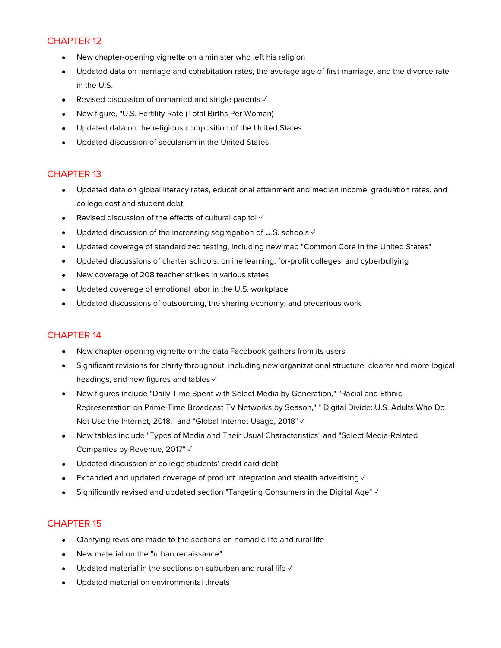- New chapter-opening vignette on a minister who left his religion
- Updated data on marriage and cohabitation rates, the average age of first marriage, and the divorce rate in the U.S.
- Revised discussion of unmarried and single parents  $\checkmark$
- New figure, "U.S. Fertility Rate (Total Births Per Woman)
- Updated data on the religious composition of the United States
- Updated discussion of secularism in the United States

#### CHAPTER 13

- Updated data on global literacy rates, educational attainment and median income, graduation rates, and college cost and student debt,
- Revised discussion of the effects of cultural capitol √
- Updated discussion of the increasing segregation of U.S. schools  $\checkmark$
- Updated coverage of standardized testing, including new map "Common Core in the United States"
- Updated discussions of charter schools, online learning, for-profit colleges, and cyberbullying
- New coverage of 208 teacher strikes in various states
- Updated coverage of emotional labor in the U.S. workplace
- Updated discussions of outsourcing, the sharing economy, and precarious work

## CHAPTER 14

- New chapter-opening vignette on the data Facebook gathers from its users
- Significant revisions for clarity throughout, including new organizational structure, clearer and more logical headings, and new figures and tables √
- New figures include "Daily Time Spent with Select Media by Generation," "Racial and Ethnic Representation on Prime-Time Broadcast TV Networks by Season," " Digital Divide: U.S. Adults Who Do Not Use the Internet, 2018," and "Global Internet Usage, 2018" √
- New tables include "Types of Media and Their Usual Characteristics" and "Select Media-Related Companies by Revenue, 2017" √
- Updated discussion of college students' credit card debt
- Expanded and updated coverage of product Integration and stealth advertising  $\sqrt{ }$
- Significantly revised and updated section "Targeting Consumers in the Digital Age" ✓

- Clarifying revisions made to the sections on nomadic life and rural life
- New material on the "urban renaissance"
- Updated material in the sections on suburban and rural life  $\sqrt{ }$
- Updated material on environmental threats